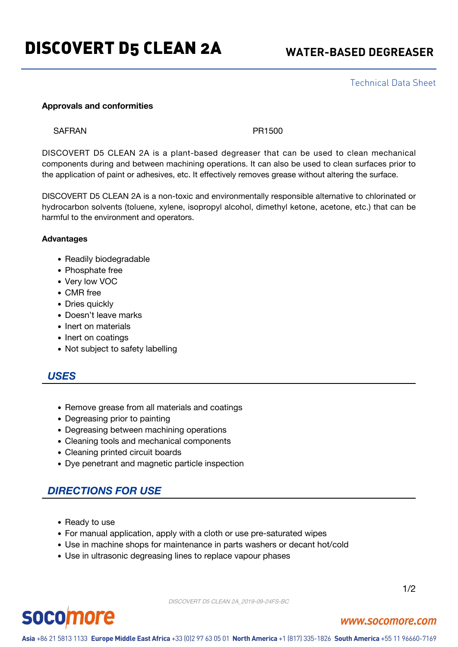Technical Data Sheet

### **Approvals and conformities**

SAFRAN PR1500

DISCOVERT D5 CLEAN 2A is a plant-based degreaser that can be used to clean mechanical components during and between machining operations. It can also be used to clean surfaces prior to the application of paint or adhesives, etc. It effectively removes grease without altering the surface.

DISCOVERT D5 CLEAN 2A is a non-toxic and environmentally responsible alternative to chlorinated or hydrocarbon solvents (toluene, xylene, isopropyl alcohol, dimethyl ketone, acetone, etc.) that can be harmful to the environment and operators.

### **Advantages**

- Readily biodegradable
- Phosphate free
- Very low VOC
- CMR free
- Dries quickly
- Doesn't leave marks
- Inert on materials
- Inert on coatings
- Not subject to safety labelling

## *USES*

- Remove grease from all materials and coatings
- Degreasing prior to painting
- Degreasing between machining operations
- Cleaning tools and mechanical components
- Cleaning printed circuit boards
- Dye penetrant and magnetic particle inspection

# *DIRECTIONS FOR USE*

- Ready to use
- For manual application, apply with a cloth or use pre-saturated wipes
- Use in machine shops for maintenance in parts washers or decant hot/cold
- Use in ultrasonic degreasing lines to replace vapour phases

DISCOVERT D5 CLEAN 2A\_2019-09-24FS-BC

1/2

# **socomore**

### www.socomore.com

Asia +86 21 5813 1133 Europe Middle East Africa +33 (0)2 97 63 05 01 North America +1 (817) 335-1826 South America +55 11 96660-7169